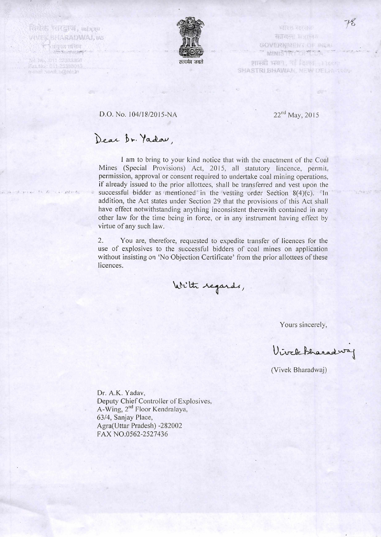Feldos Villard, antura VIVEK SHARADWAI, IAS **Exigen under** 

 $int$ 

tot No. 1111 23383366 Fax No: 011-23388043<br>o caal vevel offend in



电磁解 地名德里 **SHART NATHA** GOVERNMENT OF BUILD " MINISTRY THE TELL

शास्त्री भवम, नई दिल्ला - 13000 SHASTRI BHAWAN, NEW DELANTINA

## D.O. No. 104/18/2015-NA 22<sup>nd</sup> May, 2015

## Dear Dr. Yadau.

I am to bring to your kind notice that with the enactment of the Coal Mines (Special Provisions) Act, 2015, all statutory lincence, permit, permission, approval or consent required to undertake coal mining operations, if already issued to the prior allottees, shall be transferred and vest upon the successful bidder as mentioned in the vesting order Section 8(4)(c). In addition, the Act states under Section 29 that the provisions of this Act shall have effect notwithstanding anything inconsistent therewith contained in any other law for the time being in force, or in any instrument having effect by virtue of any such law.

2. You are, therefore, requested to expedite transfer of licences for the use of explosives to the successful bidders of coal mines on application without insisting on 'No Objection Certificate' from the prior allottees of these licences.

With regards,

Yours sincerely,

ViveleBharadway

(Vivek Bharadwaj)

Dr. A.K. Yadav, Deputy Chief Controller of Explosives, A-Wing, 2<sup>nd</sup> Floor Kendralaya, 63/4, Sanjay Place, Agra(Uttar Pradesh) -282002 FAX NO.0562-2527436